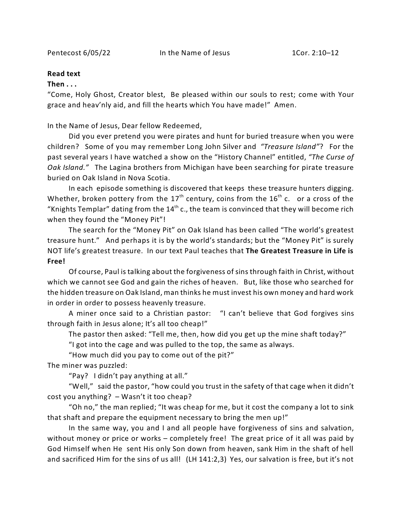Pentecost 6/05/22 In the Name of Jesus 1Cor. 2:10-12

## **Read text**

## **Then . . .**

"Come, Holy Ghost, Creator blest, Be pleased within our souls to rest; come with Your grace and heav'nly aid, and fill the hearts which You have made!" Amen.

In the Name of Jesus, Dear fellow Redeemed,

Did you ever pretend you were pirates and hunt for buried treasure when you were children? Some of you may remember Long John Silver and *"Treasure Island"*? For the past several years I have watched a show on the "History Channel" entitled, *"The Curse of Oak Island."* The Lagina brothers from Michigan have been searching for pirate treasure buried on Oak Island in Nova Scotia.

In each episode something is discovered that keeps these treasure hunters digging. Whether, broken pottery from the  $17<sup>th</sup>$  century, coins from the  $16<sup>th</sup>$  c. or a cross of the "Knights Templar" dating from the  $14<sup>th</sup>$  c., the team is convinced that they will become rich when they found the "Money Pit"!

The search for the "Money Pit" on Oak Island has been called "The world's greatest treasure hunt." And perhaps it is by the world's standards; but the "Money Pit" is surely NOT life's greatest treasure. In our text Paul teaches that **The Greatest Treasure in Life is Free!**

Of course, Paul is talking about the forgiveness of sins through faith in Christ, without which we cannot see God and gain the riches of heaven. But, like those who searched for the hidden treasure on Oak Island, man thinks he must invest his own money and hard work in order in order to possess heavenly treasure.

A miner once said to a Christian pastor: "I can't believe that God forgives sins through faith in Jesus alone; It's all too cheap!"

The pastor then asked: "Tell me, then, how did you get up the mine shaft today?"

"I got into the cage and was pulled to the top, the same as always.

"How much did you pay to come out of the pit?"

The miner was puzzled:

"Pay? I didn't pay anything at all."

"Well," said the pastor, "how could you trust in the safety of that cage when it didn't cost you anything? – Wasn't it too cheap?

"Oh no," the man replied; "It was cheap for me, but it cost the company a lot to sink that shaft and prepare the equipment necessary to bring the men up!"

In the same way, you and I and all people have forgiveness of sins and salvation, without money or price or works – completely free! The great price of it all was paid by God Himself when He sent His only Son down from heaven, sank Him in the shaft of hell and sacrificed Him for the sins of us all! (LH 141:2,3) Yes, our salvation is free, but it's not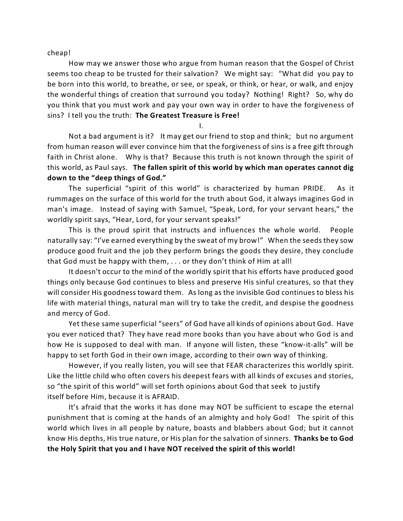cheap!

How may we answer those who argue from human reason that the Gospel of Christ seems too cheap to be trusted for their salvation? We might say: "What did you pay to be born into this world, to breathe, or see, or speak, or think, or hear, or walk, and enjoy the wonderful things of creation that surround you today? Nothing! Right? So, why do you think that you must work and pay your own way in order to have the forgiveness of sins? I tell you the truth: **The Greatest Treasure is Free!**

I.

Not a bad argument is it? It may get our friend to stop and think; but no argument from human reason will ever convince him that the forgiveness of sins is a free gift through faith in Christ alone. Why is that? Because this truth is not known through the spirit of this world, as Paul says. **The fallen spirit of this world by which man operates cannot dig down to the "deep things of God."** 

The superficial "spirit of this world" is characterized by human PRIDE. As it rummages on the surface of this world for the truth about God, it always imagines God in man's image. Instead of saying with Samuel, "Speak, Lord, for your servant hears," the worldly spirit says, "Hear, Lord, for your servant speaks!"

This is the proud spirit that instructs and influences the whole world. People naturally say: "I've earned everything by the sweat of my brow!" When the seeds they sow produce good fruit and the job they perform brings the goods they desire, they conclude that God must be happy with them, . . . or they don't think of Him at all!

It doesn't occur to the mind of the worldly spirit that his efforts have produced good things only because God continues to bless and preserve His sinful creatures, so that they will consider His goodness toward them. As long as the invisible God continues to bless his life with material things, natural man will try to take the credit, and despise the goodness and mercy of God.

Yet these same superficial "seers" of God have all kinds of opinions about God. Have you ever noticed that? They have read more books than you have about who God is and how He is supposed to deal with man. If anyone will listen, these "know-it-alls" will be happy to set forth God in their own image, according to their own way of thinking.

However, if you really listen, you will see that FEAR characterizes this worldly spirit. Like the little child who often covers his deepest fears with all kinds of excuses and stories, so "the spirit of this world" will set forth opinions about God that seek to justify itself before Him, because it is AFRAID.

It's afraid that the works it has done may NOT be sufficient to escape the eternal punishment that is coming at the hands of an almighty and holy God! The spirit of this world which lives in all people by nature, boasts and blabbers about God; but it cannot know His depths, His true nature, or His plan for the salvation of sinners. **Thanks be to God the Holy Spirit that you and I have NOT received the spirit of this world!**